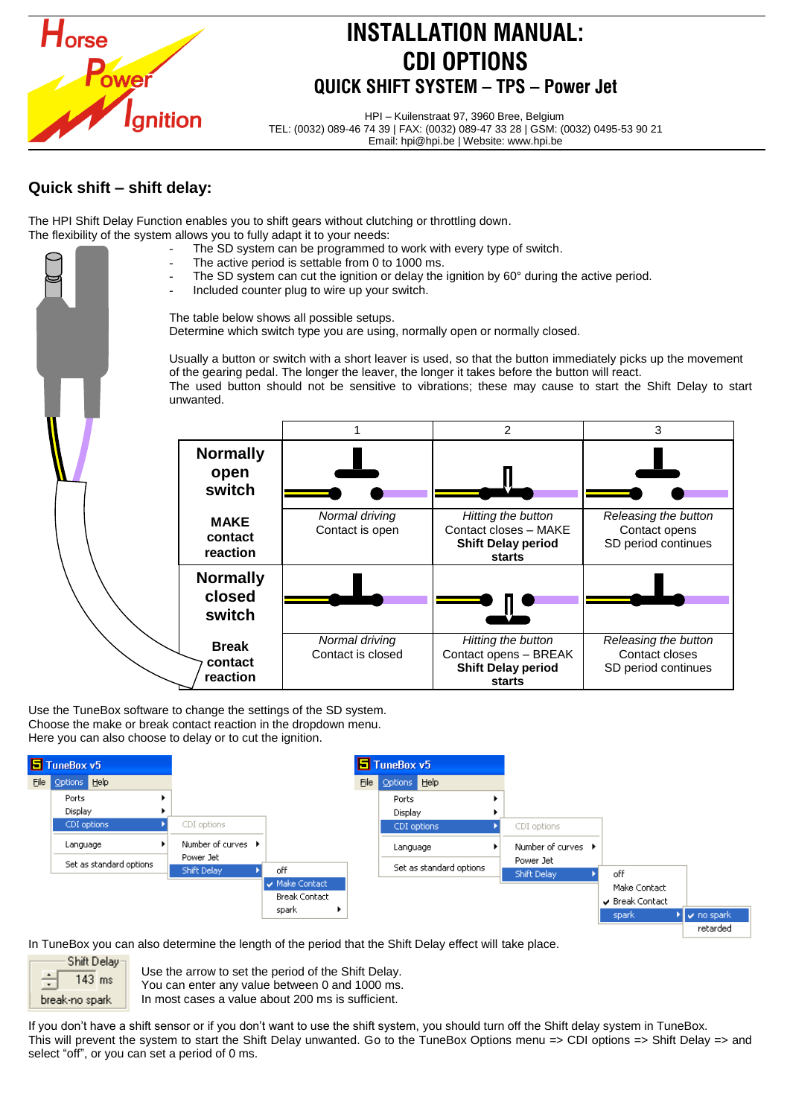

# **INSTALLATION MANUAL: CDI OPTIONS QUICK SHIFT SYSTEM – TPS – Power Jet**

HPI – Kuilenstraat 97, 3960 Bree, Belgium TEL: (0032) 089-46 74 39 | FAX: (0032) 089-47 33 28 | GSM: (0032) 0495-53 90 21 Email: hpi@hpi.be | Website: www.hpi.be

### **Quick shift – shift delay:**

The HPI Shift Delay Function enables you to shift gears without clutching or throttling down. The flexibility of the system allows you to fully adapt it to your needs:

- The SD system can be programmed to work with every type of switch.
- The active period is settable from 0 to 1000 ms.
- The SD system can cut the ignition or delay the ignition by  $60^\circ$  during the active period.
- Included counter plug to wire up your switch.

The table below shows all possible setups. Determine which switch type you are using, normally open or normally closed.

Usually a button or switch with a short leaver is used, so that the button immediately picks up the movement of the gearing pedal. The longer the leaver, the longer it takes before the button will react. The used button should not be sensitive to vibrations; these may cause to start the Shift Delay to start unwanted.



Use the TuneBox software to change the settings of the SD system. Choose the make or break contact reaction in the dropdown menu. Here you can also choose to delay or to cut the ignition.



In TuneBox you can also determine the length of the period that the Shift Delay effect will take place.



Use the arrow to set the period of the Shift Delay. You can enter any value between 0 and 1000 ms. In most cases a value about 200 ms is sufficient.

If you don't have a shift sensor or if you don't want to use the shift system, you should turn off the Shift delay system in TuneBox. This will prevent the system to start the Shift Delay unwanted. Go to the TuneBox Options menu => CDI options => Shift Delay => and select "off", or you can set a period of 0 ms.